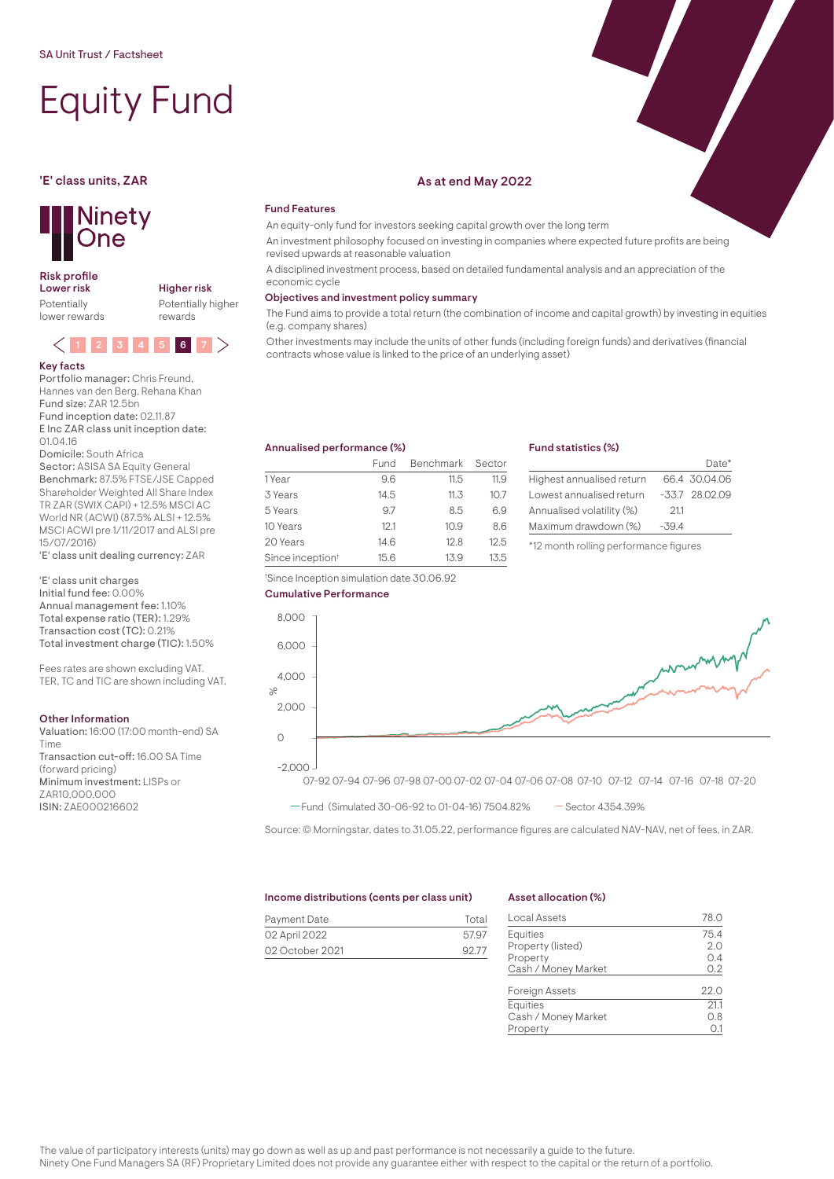# Equity Fund



## Risk profile<br>Lower risk

Potentially lower rewards Higher risk Potentially higher rewards

# $(1)$  2 3 4 5 6 7

#### Key facts

Portfolio manager: Chris Freund, Hannes van den Berg, Rehana Khan Fund size: ZAR 12.5bn Fund inception date: 02.11.87 E Inc ZAR class unit inception date:

01.04.16 Domicile: South Africa

Sector: ASISA SA Equity General Benchmark: 87.5% FTSE/JSE Capped Shareholder Weighted All Share Index TR ZAR (SWIX CAPI) + 12.5% MSCI AC World NR (ACWI) (87.5% ALSI + 12.5% MSCI ACWI pre 1/11/2017 and ALSI pre 15/07/2016)

'E' class unit dealing currency: ZAR

'E' class unit charges Initial fund fee: 0.00% Annual management fee: 1.10% Total expense ratio (TER): 1.29% Transaction cost (TC): 0.21% Total investment charge (TIC): 1.50%

Fees rates are shown excluding VAT. TER, TC and TIC are shown including VAT.

#### Other Information

Valuation: 16:00 (17:00 month-end) SA Time Transaction cut-off: 16.00 SA Time (forward pricing)

Minimum investment: LISPs or ZAR10,000,000 ISIN: ZAE000216602

#### 'E' class units, ZAR As at end May 2022

### Fund Features

An equity-only fund for investors seeking capital growth over the long term

An investment philosophy focused on investing in companies where expected future profits are being revised upwards at reasonable valuation

A disciplined investment process, based on detailed fundamental analysis and an appreciation of the economic cycle

#### Objectives and investment policy summary

The Fund aims to provide a total return (the combination of income and capital growth) by investing in equities (e.g. company shares)

Other investments may include the units of other funds (including foreign funds) and derivatives (financial contracts whose value is linked to the price of an underlying asset)

#### Annualised performance (%)

|                              | Fund | Benchmark Sector |      |
|------------------------------|------|------------------|------|
| 1 Year                       | 9.6  | 11.5             | 11.9 |
| 3 Years                      | 14.5 | 11.3             | 10.7 |
| 5 Years                      | 97   | 8.5              | 6.9  |
| 10 Years                     | 12.1 | 10.9             | 8.6  |
| 20 Years                     | 14.6 | 12.8             | 12.5 |
| Since inception <sup>t</sup> | 15.6 | 13.9             | 13.5 |

† Since Inception simulation date 30.06.92

#### Fund statistics (%)

|                           |         | Date*           |
|---------------------------|---------|-----------------|
| Highest annualised return |         | 66.4 30.04.06   |
| Lowest annualised return  |         | $-337$ 28.02.09 |
| Annualised volatility (%) | 211     |                 |
| Maximum drawdown (%)      | $-39.4$ |                 |
|                           |         |                 |

\*12 month rolling performance figures



07-92 07-94 07-96 07-98 07-00 07-02 07-04 07-06 07-08 07-10 07-12 07-14 07-16 07-18 07-20 -2,000

 $-$  Fund (Simulated 30-06-92 to 01-04-16) 7504.82%  $-$  Sector 4354.39%

Source: © Morningstar, dates to 31.05.22, performance figures are calculated NAV-NAV, net of fees, in ZAR.

#### Income distributions (cents per class unit)

| Payment Date    | Total |
|-----------------|-------|
| 02 April 2022   | 57.97 |
| 02 October 2021 | 92.77 |

#### Asset allocation (%)

| Local Assets          | 78.0 |
|-----------------------|------|
| Equities              | 75.4 |
| Property (listed)     | 2.0  |
| Property              | 0.4  |
| Cash / Money Market   | 0.2  |
| <b>Foreign Assets</b> | 22.0 |
| <b>Equities</b>       | 21.1 |
| Cash / Money Market   | 0.8  |
| Property              | 0.1  |

The value of participatory interests (units) may go down as well as up and past performance is not necessarily a guide to the future. Ninety One Fund Managers SA (RF) Proprietary Limited does not provide any guarantee either with respect to the capital or the return of a portfolio.